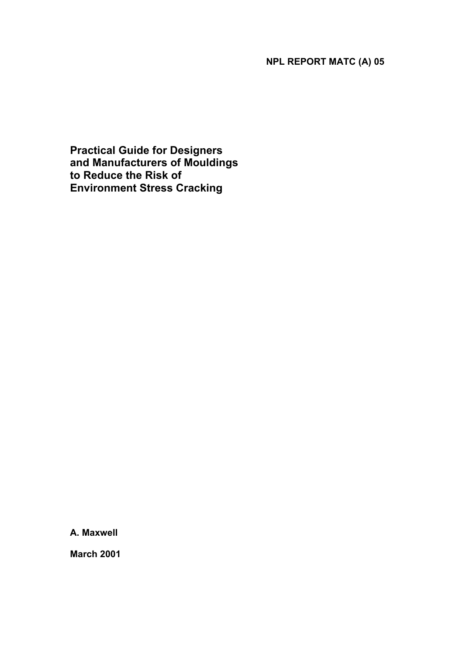## **NPL REPORT MATC (A) 05**

**Practical Guide for Designers and Manufacturers of Mouldings to Reduce the Risk of Environment Stress Cracking** 

**A. Maxwell** 

**March 2001**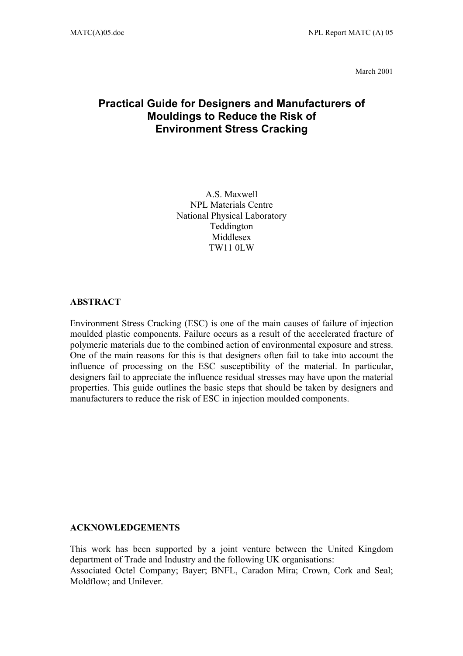March 2001

## **Practical Guide for Designers and Manufacturers of Mouldings to Reduce the Risk of Environment Stress Cracking**

A.S. Maxwell NPL Materials Centre National Physical Laboratory Teddington Middlesex TW11 0LW

#### **ABSTRACT**

Environment Stress Cracking (ESC) is one of the main causes of failure of injection moulded plastic components. Failure occurs as a result of the accelerated fracture of polymeric materials due to the combined action of environmental exposure and stress. One of the main reasons for this is that designers often fail to take into account the influence of processing on the ESC susceptibility of the material. In particular, designers fail to appreciate the influence residual stresses may have upon the material properties. This guide outlines the basic steps that should be taken by designers and manufacturers to reduce the risk of ESC in injection moulded components.

#### **ACKNOWLEDGEMENTS**

This work has been supported by a joint venture between the United Kingdom department of Trade and Industry and the following UK organisations: Associated Octel Company; Bayer; BNFL, Caradon Mira; Crown, Cork and Seal; Moldflow; and Unilever.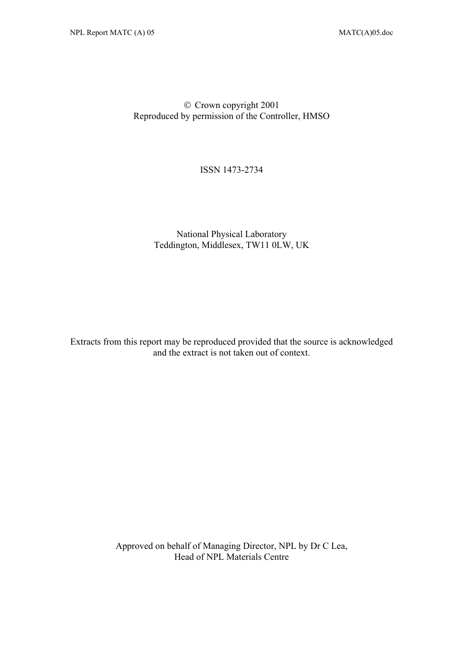#### Crown copyright 2001 Reproduced by permission of the Controller, HMSO

ISSN 1473-2734

### National Physical Laboratory Teddington, Middlesex, TW11 0LW, UK

Extracts from this report may be reproduced provided that the source is acknowledged and the extract is not taken out of context.

> Approved on behalf of Managing Director, NPL by Dr C Lea, Head of NPL Materials Centre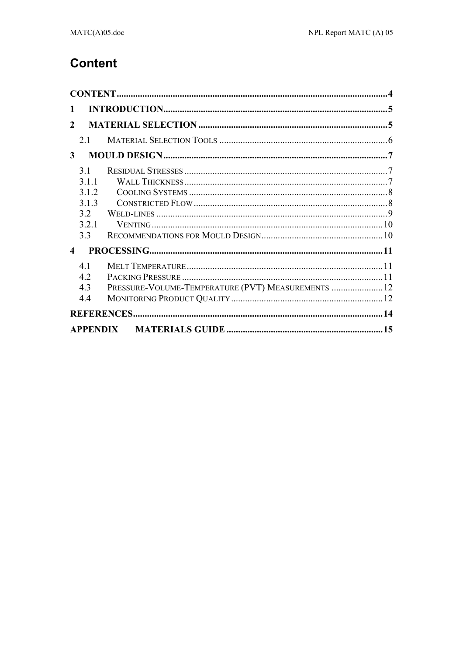# **Content**

| $\mathbf{1}$           |       |                                                    |  |
|------------------------|-------|----------------------------------------------------|--|
| $\mathfrak{D}$         |       |                                                    |  |
|                        | 2.1   |                                                    |  |
| $\mathbf{3}$           |       |                                                    |  |
|                        | 31    |                                                    |  |
|                        | 3.1.1 |                                                    |  |
|                        | 3.1.2 |                                                    |  |
|                        | 3.1.3 |                                                    |  |
|                        | 3.2   |                                                    |  |
|                        | 3.2.1 |                                                    |  |
|                        | 3.3   |                                                    |  |
| $\boldsymbol{\Lambda}$ |       |                                                    |  |
|                        | 41    |                                                    |  |
|                        | 4.2   |                                                    |  |
|                        | 4.3   | PRESSURE-VOLUME-TEMPERATURE (PVT) MEASUREMENTS  12 |  |
|                        | 44    |                                                    |  |
|                        |       |                                                    |  |
|                        |       |                                                    |  |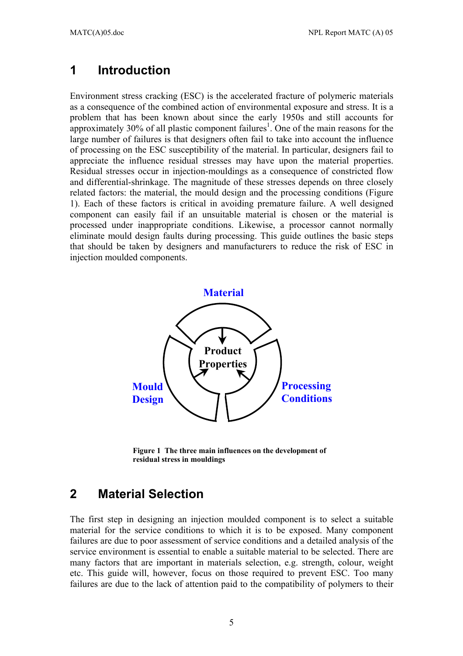## **1 Introduction**

Environment stress cracking (ESC) is the accelerated fracture of polymeric materials as a consequence of the combined action of environmental exposure and stress. It is a problem that has been known about since the early 1950s and still accounts for approximately 30% of all plastic component failures<sup>1</sup>. One of the main reasons for the large number of failures is that designers often fail to take into account the influence of processing on the ESC susceptibility of the material. In particular, designers fail to appreciate the influence residual stresses may have upon the material properties. Residual stresses occur in injection-mouldings as a consequence of constricted flow and differential-shrinkage. The magnitude of these stresses depends on three closely related factors: the material, the mould design and the processing conditions (Figure 1). Each of these factors is critical in avoiding premature failure. A well designed component can easily fail if an unsuitable material is chosen or the material is processed under inappropriate conditions. Likewise, a processor cannot normally eliminate mould design faults during processing. This guide outlines the basic steps that should be taken by designers and manufacturers to reduce the risk of ESC in injection moulded components.



**Figure 1 The three main influences on the development of residual stress in mouldings**

# **2 Material Selection**

The first step in designing an injection moulded component is to select a suitable material for the service conditions to which it is to be exposed. Many component failures are due to poor assessment of service conditions and a detailed analysis of the service environment is essential to enable a suitable material to be selected. There are many factors that are important in materials selection, e.g. strength, colour, weight etc. This guide will, however, focus on those required to prevent ESC. Too many failures are due to the lack of attention paid to the compatibility of polymers to their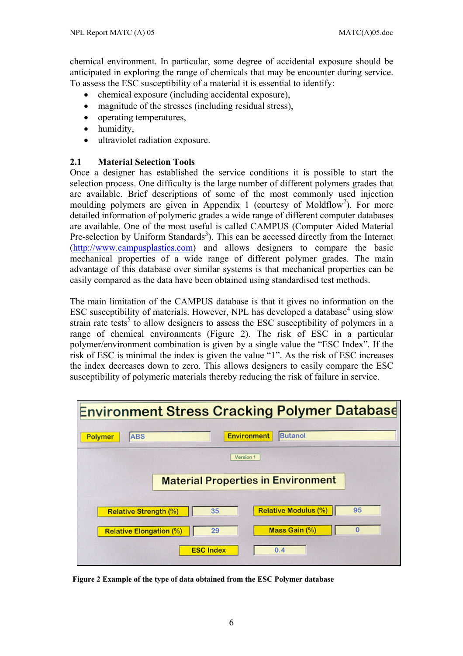chemical environment. In particular, some degree of accidental exposure should be anticipated in exploring the range of chemicals that may be encounter during service. To assess the ESC susceptibility of a material it is essential to identify:

- chemical exposure (including accidental exposure),
- magnitude of the stresses (including residual stress),
- operating temperatures,
- humidity,
- ultraviolet radiation exposure.

#### **2.1 Material Selection Tools**

Once a designer has established the service conditions it is possible to start the selection process. One difficulty is the large number of different polymers grades that are available. Brief descriptions of some of the most commonly used injection moulding polymers are given in Appendix 1 (courtesy of Moldflow<sup>2</sup>). For more detailed information of polymeric grades a wide range of different computer databases are available. One of the most useful is called CAMPUS (Computer Aided Material Pre-selection by Uniform Standards<sup>3</sup>). This can be accessed directly from the Internet (http://www.campusplastics.com) and allows designers to compare the basic mechanical properties of a wide range of different polymer grades. The main advantage of this database over similar systems is that mechanical properties can be easily compared as the data have been obtained using standardised test methods.

The main limitation of the CAMPUS database is that it gives no information on the ESC susceptibility of materials. However, NPL has developed a database $4$  using slow strain rate tests<sup>5</sup> to allow designers to assess the ESC susceptibility of polymers in a range of chemical environments (Figure 2). The risk of ESC in a particular polymer/environment combination is given by a single value the "ESC Index". If the risk of ESC is minimal the index is given the value "1". As the risk of ESC increases the index decreases down to zero. This allows designers to easily compare the ESC susceptibility of polymeric materials thereby reducing the risk of failure in service.



**Figure 2 Example of the type of data obtained from the ESC Polymer database**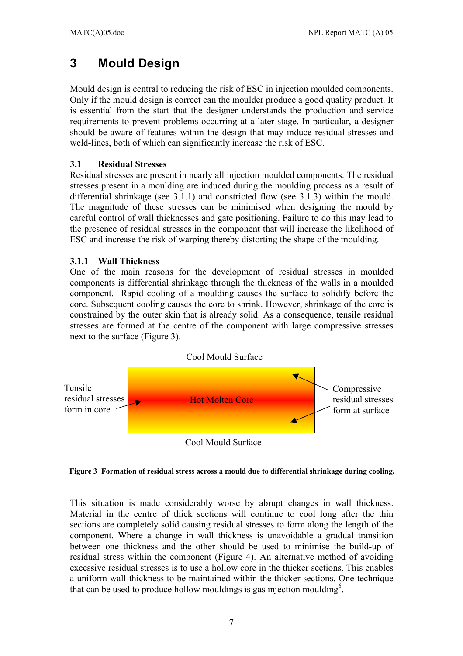# **3 Mould Design**

Mould design is central to reducing the risk of ESC in injection moulded components. Only if the mould design is correct can the moulder produce a good quality product. It is essential from the start that the designer understands the production and service requirements to prevent problems occurring at a later stage. In particular, a designer should be aware of features within the design that may induce residual stresses and weld-lines, both of which can significantly increase the risk of ESC.

#### **3.1 Residual Stresses**

Residual stresses are present in nearly all injection moulded components. The residual stresses present in a moulding are induced during the moulding process as a result of differential shrinkage (see 3.1.1) and constricted flow (see 3.1.3) within the mould. The magnitude of these stresses can be minimised when designing the mould by careful control of wall thicknesses and gate positioning. Failure to do this may lead to the presence of residual stresses in the component that will increase the likelihood of ESC and increase the risk of warping thereby distorting the shape of the moulding.

#### **3.1.1 Wall Thickness**

One of the main reasons for the development of residual stresses in moulded components is differential shrinkage through the thickness of the walls in a moulded component. Rapid cooling of a moulding causes the surface to solidify before the core. Subsequent cooling causes the core to shrink. However, shrinkage of the core is constrained by the outer skin that is already solid. As a consequence, tensile residual stresses are formed at the centre of the component with large compressive stresses next to the surface (Figure 3).



**Figure 3 Formation of residual stress across a mould due to differential shrinkage during cooling.** 

This situation is made considerably worse by abrupt changes in wall thickness. Material in the centre of thick sections will continue to cool long after the thin sections are completely solid causing residual stresses to form along the length of the component. Where a change in wall thickness is unavoidable a gradual transition between one thickness and the other should be used to minimise the build-up of residual stress within the component (Figure 4). An alternative method of avoiding excessive residual stresses is to use a hollow core in the thicker sections. This enables a uniform wall thickness to be maintained within the thicker sections. One technique that can be used to produce hollow mouldings is gas injection moulding<sup>6</sup>.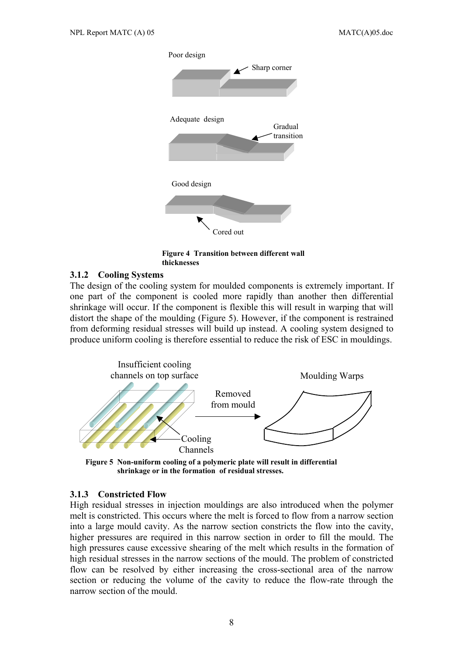

**Figure 4 Transition between different wall thicknesses**

#### **3.1.2 Cooling Systems**

The design of the cooling system for moulded components is extremely important. If one part of the component is cooled more rapidly than another then differential shrinkage will occur. If the component is flexible this will result in warping that will distort the shape of the moulding (Figure 5). However, if the component is restrained from deforming residual stresses will build up instead. A cooling system designed to produce uniform cooling is therefore essential to reduce the risk of ESC in mouldings.



**Figure 5 Non-uniform cooling of a polymeric plate will result in differential shrinkage or in the formation of residual stresses.**

#### **3.1.3 Constricted Flow**

High residual stresses in injection mouldings are also introduced when the polymer melt is constricted. This occurs where the melt is forced to flow from a narrow section into a large mould cavity. As the narrow section constricts the flow into the cavity, higher pressures are required in this narrow section in order to fill the mould. The high pressures cause excessive shearing of the melt which results in the formation of high residual stresses in the narrow sections of the mould. The problem of constricted flow can be resolved by either increasing the cross-sectional area of the narrow section or reducing the volume of the cavity to reduce the flow-rate through the narrow section of the mould.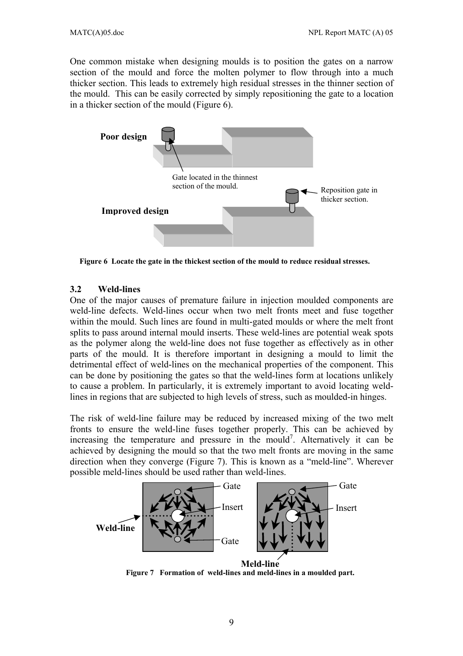One common mistake when designing moulds is to position the gates on a narrow section of the mould and force the molten polymer to flow through into a much thicker section. This leads to extremely high residual stresses in the thinner section of the mould. This can be easily corrected by simply repositioning the gate to a location in a thicker section of the mould (Figure 6).



**Figure 6 Locate the gate in the thickest section of the mould to reduce residual stresses.** 

#### **3.2 Weld-lines**

One of the major causes of premature failure in injection moulded components are weld-line defects. Weld-lines occur when two melt fronts meet and fuse together within the mould. Such lines are found in multi-gated moulds or where the melt front splits to pass around internal mould inserts. These weld-lines are potential weak spots as the polymer along the weld-line does not fuse together as effectively as in other parts of the mould. It is therefore important in designing a mould to limit the detrimental effect of weld-lines on the mechanical properties of the component. This can be done by positioning the gates so that the weld-lines form at locations unlikely to cause a problem. In particularly, it is extremely important to avoid locating weldlines in regions that are subjected to high levels of stress, such as moulded-in hinges.

The risk of weld-line failure may be reduced by increased mixing of the two melt fronts to ensure the weld-line fuses together properly. This can be achieved by increasing the temperature and pressure in the mould<sup>7</sup>. Alternatively it can be achieved by designing the mould so that the two melt fronts are moving in the same direction when they converge (Figure 7). This is known as a "meld-line". Wherever possible meld-lines should be used rather than weld-lines.



 **Figure 7 Formation of weld-lines and meld-lines in a moulded part.**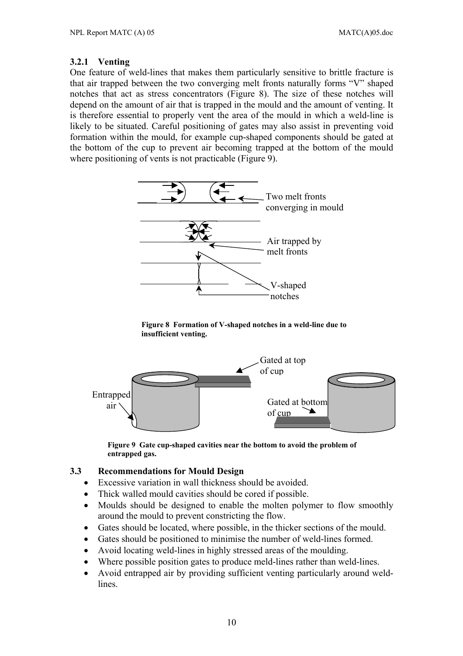#### **3.2.1 Venting**

One feature of weld-lines that makes them particularly sensitive to brittle fracture is that air trapped between the two converging melt fronts naturally forms "V" shaped notches that act as stress concentrators (Figure 8). The size of these notches will depend on the amount of air that is trapped in the mould and the amount of venting. It is therefore essential to properly vent the area of the mould in which a weld-line is likely to be situated. Careful positioning of gates may also assist in preventing void formation within the mould, for example cup-shaped components should be gated at the bottom of the cup to prevent air becoming trapped at the bottom of the mould where positioning of vents is not practicable (Figure 9).



**Figure 8 Formation of V-shaped notches in a weld-line due to insufficient venting.**



**Figure 9 Gate cup-shaped cavities near the bottom to avoid the problem of entrapped gas.** 

#### **3.3 Recommendations for Mould Design**

- Excessive variation in wall thickness should be avoided.
- Thick walled mould cavities should be cored if possible.
- Moulds should be designed to enable the molten polymer to flow smoothly around the mould to prevent constricting the flow.
- Gates should be located, where possible, in the thicker sections of the mould.
- Gates should be positioned to minimise the number of weld-lines formed.
- Avoid locating weld-lines in highly stressed areas of the moulding.
- Where possible position gates to produce meld-lines rather than weld-lines.
- Avoid entrapped air by providing sufficient venting particularly around weldlines.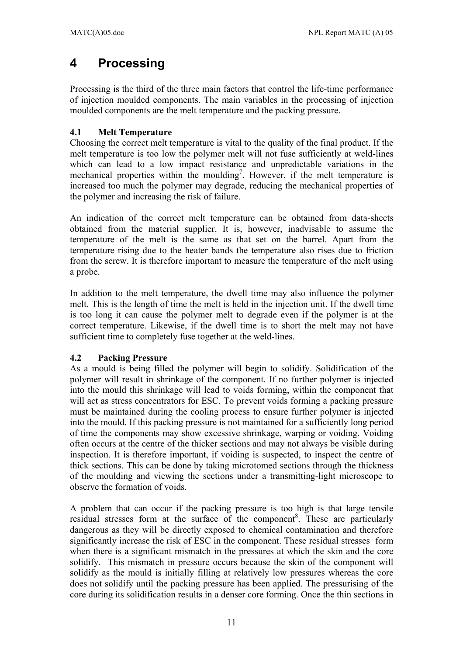# **4 Processing**

Processing is the third of the three main factors that control the life-time performance of injection moulded components. The main variables in the processing of injection moulded components are the melt temperature and the packing pressure.

### **4.1 Melt Temperature**

Choosing the correct melt temperature is vital to the quality of the final product. If the melt temperature is too low the polymer melt will not fuse sufficiently at weld-lines which can lead to a low impact resistance and unpredictable variations in the mechanical properties within the moulding<sup>7</sup>. However, if the melt temperature is increased too much the polymer may degrade, reducing the mechanical properties of the polymer and increasing the risk of failure.

An indication of the correct melt temperature can be obtained from data-sheets obtained from the material supplier. It is, however, inadvisable to assume the temperature of the melt is the same as that set on the barrel. Apart from the temperature rising due to the heater bands the temperature also rises due to friction from the screw. It is therefore important to measure the temperature of the melt using a probe.

In addition to the melt temperature, the dwell time may also influence the polymer melt. This is the length of time the melt is held in the injection unit. If the dwell time is too long it can cause the polymer melt to degrade even if the polymer is at the correct temperature. Likewise, if the dwell time is to short the melt may not have sufficient time to completely fuse together at the weld-lines.

### **4.2 Packing Pressure**

As a mould is being filled the polymer will begin to solidify. Solidification of the polymer will result in shrinkage of the component. If no further polymer is injected into the mould this shrinkage will lead to voids forming, within the component that will act as stress concentrators for ESC. To prevent voids forming a packing pressure must be maintained during the cooling process to ensure further polymer is injected into the mould. If this packing pressure is not maintained for a sufficiently long period of time the components may show excessive shrinkage, warping or voiding. Voiding often occurs at the centre of the thicker sections and may not always be visible during inspection. It is therefore important, if voiding is suspected, to inspect the centre of thick sections. This can be done by taking microtomed sections through the thickness of the moulding and viewing the sections under a transmitting-light microscope to observe the formation of voids.

A problem that can occur if the packing pressure is too high is that large tensile residual stresses form at the surface of the component<sup>8</sup>. These are particularly dangerous as they will be directly exposed to chemical contamination and therefore significantly increase the risk of ESC in the component. These residual stresses form when there is a significant mismatch in the pressures at which the skin and the core solidify. This mismatch in pressure occurs because the skin of the component will solidify as the mould is initially filling at relatively low pressures whereas the core does not solidify until the packing pressure has been applied. The pressurising of the core during its solidification results in a denser core forming. Once the thin sections in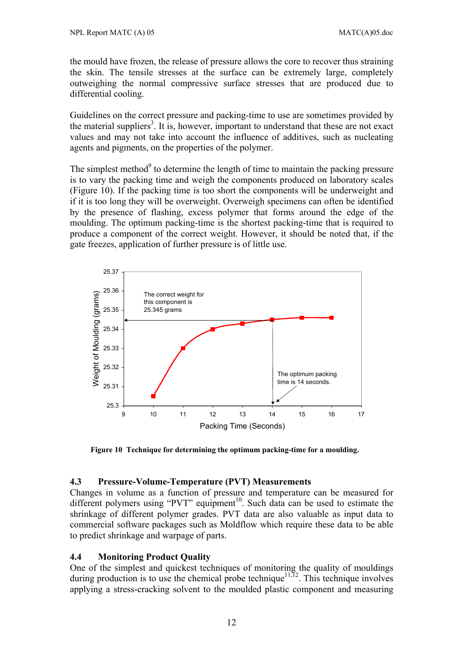the mould have frozen, the release of pressure allows the core to recover thus straining the skin. The tensile stresses at the surface can be extremely large, completely outweighing the normal compressive surface stresses that are produced due to differential cooling.

Guidelines on the correct pressure and packing-time to use are sometimes provided by the material suppliers<sup>3</sup>. It is, however, important to understand that these are not exact values and may not take into account the influence of additives, such as nucleating agents and pigments, on the properties of the polymer.

The simplest method $9$  to determine the length of time to maintain the packing pressure is to vary the packing time and weigh the components produced on laboratory scales (Figure 10). If the packing time is too short the components will be underweight and if it is too long they will be overweight. Overweigh specimens can often be identified by the presence of flashing, excess polymer that forms around the edge of the moulding. The optimum packing-time is the shortest packing-time that is required to produce a component of the correct weight. However, it should be noted that, if the gate freezes, application of further pressure is of little use.



**Figure 10 Technique for determining the optimum packing-time for a moulding.** 

#### **4.3 Pressure-Volume-Temperature (PVT) Measurements**

Changes in volume as a function of pressure and temperature can be measured for different polymers using "PVT" equipment<sup>10</sup>. Such data can be used to estimate the shrinkage of different polymer grades. PVT data are also valuable as input data to commercial software packages such as Moldflow which require these data to be able to predict shrinkage and warpage of parts.

### **4.4 Monitoring Product Quality**

One of the simplest and quickest techniques of monitoring the quality of mouldings during production is to use the chemical probe technique<sup>11,12</sup>. This technique involves applying a stress-cracking solvent to the moulded plastic component and measuring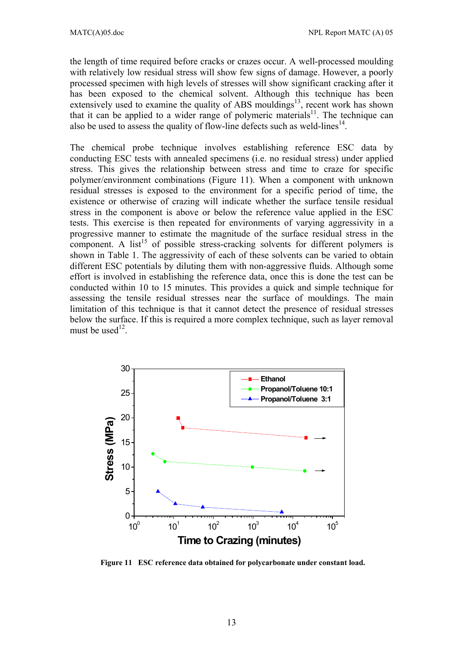the length of time required before cracks or crazes occur. A well-processed moulding with relatively low residual stress will show few signs of damage. However, a poorly processed specimen with high levels of stresses will show significant cracking after it has been exposed to the chemical solvent. Although this technique has been extensively used to examine the quality of ABS mouldings<sup>13</sup>, recent work has shown that it can be applied to a wider range of polymeric materials<sup>11</sup>. The technique can also be used to assess the quality of flow-line defects such as weld-lines<sup>14</sup>.

The chemical probe technique involves establishing reference ESC data by conducting ESC tests with annealed specimens (i.e. no residual stress) under applied stress. This gives the relationship between stress and time to craze for specific polymer/environment combinations (Figure 11). When a component with unknown residual stresses is exposed to the environment for a specific period of time, the existence or otherwise of crazing will indicate whether the surface tensile residual stress in the component is above or below the reference value applied in the ESC tests. This exercise is then repeated for environments of varying aggressivity in a progressive manner to estimate the magnitude of the surface residual stress in the component. A list<sup>15</sup> of possible stress-cracking solvents for different polymers is shown in Table 1. The aggressivity of each of these solvents can be varied to obtain different ESC potentials by diluting them with non-aggressive fluids. Although some effort is involved in establishing the reference data, once this is done the test can be conducted within 10 to 15 minutes. This provides a quick and simple technique for assessing the tensile residual stresses near the surface of mouldings. The main limitation of this technique is that it cannot detect the presence of residual stresses below the surface. If this is required a more complex technique, such as layer removal must be used $12$ .



**Figure 11 ESC reference data obtained for polycarbonate under constant load.**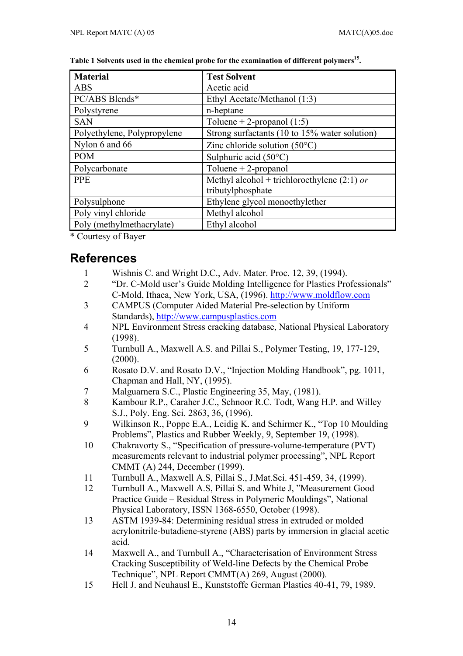| <b>Material</b>             | <b>Test Solvent</b>                           |
|-----------------------------|-----------------------------------------------|
| ABS                         | Acetic acid                                   |
| PC/ABS Blends*              | Ethyl Acetate/Methanol (1:3)                  |
| Polystyrene                 | n-heptane                                     |
| <b>SAN</b>                  | Toluene + 2-propanol $(1:5)$                  |
| Polyethylene, Polypropylene | Strong surfactants (10 to 15% water solution) |
| Nylon 6 and 66              | Zinc chloride solution $(50^{\circ}C)$        |
| <b>POM</b>                  | Sulphuric acid $(50^{\circ}C)$                |
| Polycarbonate               | Toluene $+2$ -propanol                        |
| <b>PPE</b>                  | Methyl alcohol + trichloroethylene $(2:1)$ or |
|                             | tributylphosphate                             |
| Polysulphone                | Ethylene glycol monoethylether                |
| Poly vinyl chloride         | Methyl alcohol                                |
| Poly (methylmethacrylate)   | Ethyl alcohol                                 |

Table 1 Solvents used in the chemical probe for the examination of different polymers<sup>15</sup>.

\* Courtesy of Bayer

## **References**

- 1 Wishnis C. and Wright D.C., Adv. Mater. Proc. 12, 39, (1994).
- 2 "Dr. C-Mold user's Guide Molding Intelligence for Plastics Professionals" C-Mold, Ithaca, New York, USA, (1996). http://www.moldflow.com
- 3 CAMPUS (Computer Aided Material Pre-selection by Uniform Standards), http://www.campusplastics.com
- 4 NPL Environment Stress cracking database, National Physical Laboratory (1998).
- 5 Turnbull A., Maxwell A.S. and Pillai S., Polymer Testing, 19, 177-129, (2000).
- 6 Rosato D.V. and Rosato D.V., "Injection Molding Handbook", pg. 1011, Chapman and Hall, NY, (1995).
- 7 Malguarnera S.C., Plastic Engineering 35, May, (1981).
- 8 Kambour R.P., Caraher J.C., Schnoor R.C. Todt, Wang H.P. and Willey S.J., Poly. Eng. Sci. 2863, 36, (1996).
- 9 Wilkinson R., Poppe E.A., Leidig K. and Schirmer K., "Top 10 Moulding Problems", Plastics and Rubber Weekly, 9, September 19, (1998).
- 10 Chakravorty S., "Specification of pressure-volume-temperature (PVT) measurements relevant to industrial polymer processing", NPL Report CMMT (A) 244, December (1999).
- 11 Turnbull A., Maxwell A.S, Pillai S., J.Mat.Sci. 451-459, 34, (1999).
- 12 Turnbull A., Maxwell A.S, Pillai S. and White J, "Measurement Good Practice Guide – Residual Stress in Polymeric Mouldings", National Physical Laboratory, ISSN 1368-6550, October (1998).
- 13 ASTM 1939-84: Determining residual stress in extruded or molded acrylonitrile-butadiene-styrene (ABS) parts by immersion in glacial acetic acid.
- 14 Maxwell A., and Turnbull A., "Characterisation of Environment Stress Cracking Susceptibility of Weld-line Defects by the Chemical Probe Technique", NPL Report CMMT(A) 269, August (2000).
- 15 Hell J. and Neuhausl E., Kunststoffe German Plastics 40-41, 79, 1989.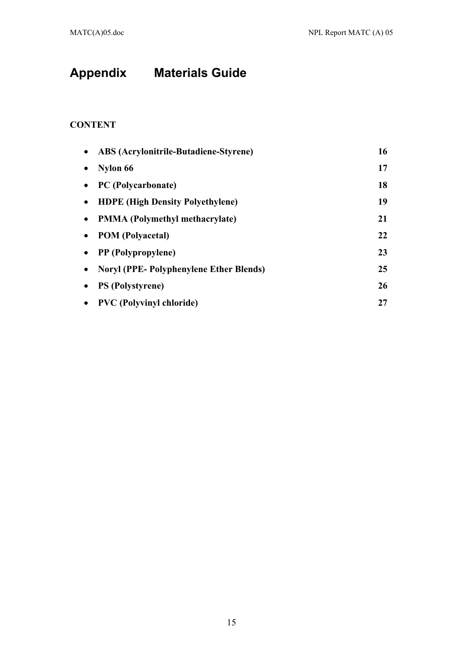# **Appendix Materials Guide**

## **CONTENT**

| <b>ABS</b> (Acrylonitrile-Butadiene-Styrene)  | 16 |
|-----------------------------------------------|----|
| Nylon 66                                      | 17 |
| PC (Polycarbonate)                            | 18 |
| <b>HDPE</b> (High Density Polyethylene)       | 19 |
| <b>PMMA</b> (Polymethyl methacrylate)         | 21 |
| <b>POM</b> (Polyacetal)                       | 22 |
| <b>PP</b> (Polypropylene)                     | 23 |
| <b>Noryl (PPE-Polyphenylene Ether Blends)</b> | 25 |
| <b>PS</b> (Polystyrene)                       | 26 |
| <b>PVC</b> (Polyvinyl chloride)               | 27 |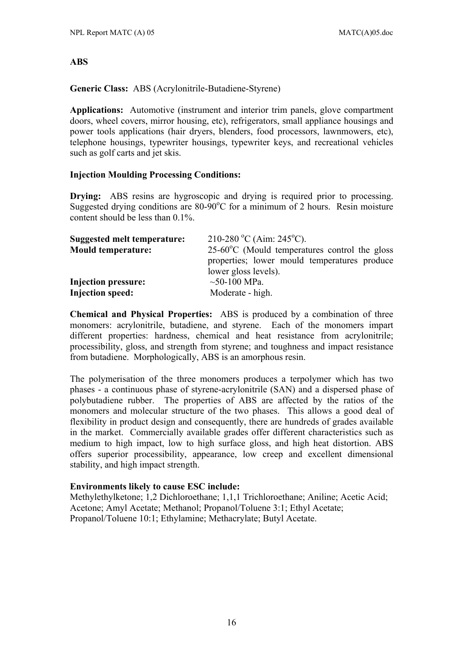#### **ABS**

**Generic Class:** ABS (Acrylonitrile-Butadiene-Styrene)

**Applications:** Automotive (instrument and interior trim panels, glove compartment doors, wheel covers, mirror housing, etc), refrigerators, small appliance housings and power tools applications (hair dryers, blenders, food processors, lawnmowers, etc), telephone housings, typewriter housings, typewriter keys, and recreational vehicles such as golf carts and jet skis.

#### **Injection Moulding Processing Conditions:**

**Drying:** ABS resins are hygroscopic and drying is required prior to processing. Suggested drying conditions are 80-90°C for a minimum of 2 hours. Resin moisture content should be less than 0.1%.

| Suggested melt temperature: | 210-280 °C (Aim: 245 °C).                               |
|-----------------------------|---------------------------------------------------------|
| <b>Mould temperature:</b>   | $25-60^{\circ}$ C (Mould temperatures control the gloss |
|                             | properties; lower mould temperatures produce            |
|                             | lower gloss levels).                                    |
| Injection pressure:         | $\sim$ 50-100 MPa.                                      |
| <b>Injection speed:</b>     | Moderate - high.                                        |

**Chemical and Physical Properties:** ABS is produced by a combination of three monomers: acrylonitrile, butadiene, and styrene. Each of the monomers impart different properties: hardness, chemical and heat resistance from acrylonitrile; processibility, gloss, and strength from styrene; and toughness and impact resistance from butadiene. Morphologically, ABS is an amorphous resin.

The polymerisation of the three monomers produces a terpolymer which has two phases - a continuous phase of styrene-acrylonitrile (SAN) and a dispersed phase of polybutadiene rubber. The properties of ABS are affected by the ratios of the monomers and molecular structure of the two phases. This allows a good deal of flexibility in product design and consequently, there are hundreds of grades available in the market. Commercially available grades offer different characteristics such as medium to high impact, low to high surface gloss, and high heat distortion. ABS offers superior processibility, appearance, low creep and excellent dimensional stability, and high impact strength.

#### **Environments likely to cause ESC include:**

Methylethylketone; 1,2 Dichloroethane; 1,1,1 Trichloroethane; Aniline; Acetic Acid; Acetone; Amyl Acetate; Methanol; Propanol/Toluene 3:1; Ethyl Acetate; Propanol/Toluene 10:1; Ethylamine; Methacrylate; Butyl Acetate.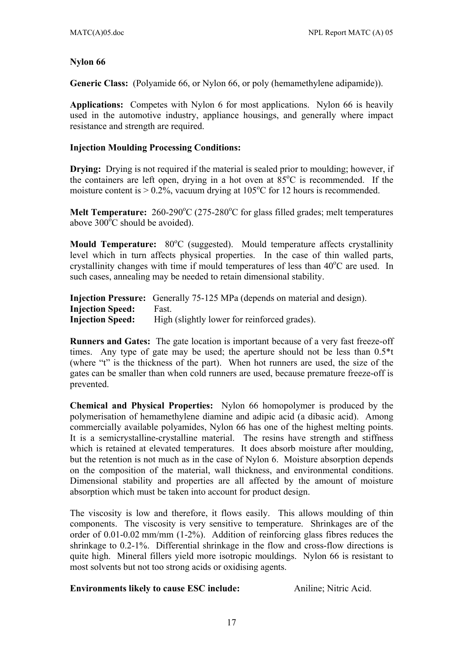#### **Nylon 66**

**Generic Class:** (Polyamide 66, or Nylon 66, or poly (hemamethylene adipamide)).

**Applications:** Competes with Nylon 6 for most applications. Nylon 66 is heavily used in the automotive industry, appliance housings, and generally where impact resistance and strength are required.

#### **Injection Moulding Processing Conditions:**

**Drying:** Drying is not required if the material is sealed prior to moulding; however, if the containers are left open, drying in a hot oven at  $85^{\circ}$ C is recommended. If the moisture content is  $> 0.2\%$ , vacuum drying at 105<sup>o</sup>C for 12 hours is recommended.

**Melt Temperature:**  $260-290^{\circ}C$  (275-280 $^{\circ}C$  for glass filled grades; melt temperatures above  $300^{\circ}$ C should be avoided).

Mould Temperature: 80°C (suggested). Mould temperature affects crystallinity level which in turn affects physical properties. In the case of thin walled parts, crystallinity changes with time if mould temperatures of less than 40°C are used. In such cases, annealing may be needed to retain dimensional stability.

|                         | <b>Injection Pressure:</b> Generally 75-125 MPa (depends on material and design). |
|-------------------------|-----------------------------------------------------------------------------------|
| <b>Injection Speed:</b> | Fast.                                                                             |
| <b>Injection Speed:</b> | High (slightly lower for reinforced grades).                                      |

**Runners and Gates:** The gate location is important because of a very fast freeze-off times. Any type of gate may be used; the aperture should not be less than 0.5\*t (where "t" is the thickness of the part). When hot runners are used, the size of the gates can be smaller than when cold runners are used, because premature freeze-off is prevented.

**Chemical and Physical Properties:** Nylon 66 homopolymer is produced by the polymerisation of hemamethylene diamine and adipic acid (a dibasic acid). Among commercially available polyamides, Nylon 66 has one of the highest melting points. It is a semicrystalline-crystalline material. The resins have strength and stiffness which is retained at elevated temperatures. It does absorb moisture after moulding, but the retention is not much as in the case of Nylon 6. Moisture absorption depends on the composition of the material, wall thickness, and environmental conditions. Dimensional stability and properties are all affected by the amount of moisture absorption which must be taken into account for product design.

The viscosity is low and therefore, it flows easily. This allows moulding of thin components. The viscosity is very sensitive to temperature. Shrinkages are of the order of 0.01-0.02 mm/mm (1-2%). Addition of reinforcing glass fibres reduces the shrinkage to 0.2-1%. Differential shrinkage in the flow and cross-flow directions is quite high. Mineral fillers yield more isotropic mouldings. Nylon 66 is resistant to most solvents but not too strong acids or oxidising agents.

#### **Environments likely to cause ESC include:** Aniline; Nitric Acid.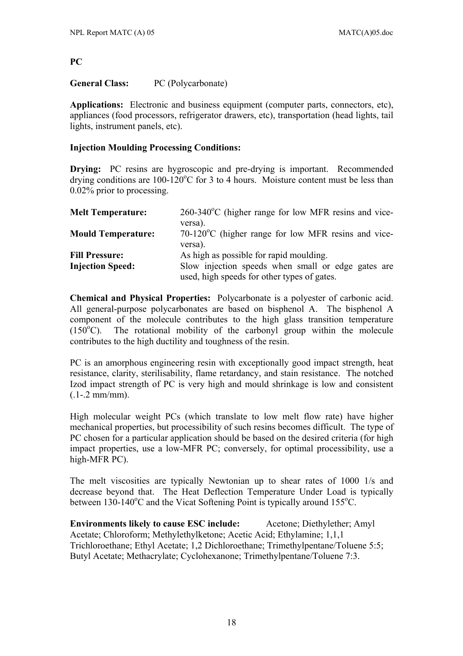#### **PC**

#### **General Class:** PC (Polycarbonate)

**Applications:** Electronic and business equipment (computer parts, connectors, etc), appliances (food processors, refrigerator drawers, etc), transportation (head lights, tail lights, instrument panels, etc).

#### **Injection Moulding Processing Conditions:**

**Drying:** PC resins are hygroscopic and pre-drying is important. Recommended drying conditions are  $100-120^{\circ}$ C for 3 to 4 hours. Moisture content must be less than 0.02% prior to processing.

| <b>Melt Temperature:</b>  | $260-340^{\circ}$ C (higher range for low MFR resins and vice- |
|---------------------------|----------------------------------------------------------------|
|                           | versa).                                                        |
| <b>Mould Temperature:</b> | $70-120$ °C (higher range for low MFR resins and vice-         |
|                           | versa).                                                        |
| <b>Fill Pressure:</b>     | As high as possible for rapid moulding.                        |
| <b>Injection Speed:</b>   | Slow injection speeds when small or edge gates are             |
|                           | used, high speeds for other types of gates.                    |

**Chemical and Physical Properties:** Polycarbonate is a polyester of carbonic acid. All general-purpose polycarbonates are based on bisphenol A. The bisphenol A component of the molecule contributes to the high glass transition temperature  $(150^{\circ}C)$ . The rotational mobility of the carbonyl group within the molecule contributes to the high ductility and toughness of the resin.

PC is an amorphous engineering resin with exceptionally good impact strength, heat resistance, clarity, sterilisability, flame retardancy, and stain resistance. The notched Izod impact strength of PC is very high and mould shrinkage is low and consistent  $(.1-.2 \text{ mm/mm}).$ 

High molecular weight PCs (which translate to low melt flow rate) have higher mechanical properties, but processibility of such resins becomes difficult. The type of PC chosen for a particular application should be based on the desired criteria (for high impact properties, use a low-MFR PC; conversely, for optimal processibility, use a high-MFR PC).

The melt viscosities are typically Newtonian up to shear rates of 1000 1/s and decrease beyond that. The Heat Deflection Temperature Under Load is typically between  $130-140^{\circ}$ C and the Vicat Softening Point is typically around  $155^{\circ}$ C.

**Environments likely to cause ESC include:** Acetone; Diethylether; Amyl Acetate; Chloroform; Methylethylketone; Acetic Acid; Ethylamine; 1,1,1 Trichloroethane; Ethyl Acetate; 1,2 Dichloroethane; Trimethylpentane/Toluene 5:5; Butyl Acetate; Methacrylate; Cyclohexanone; Trimethylpentane/Toluene 7:3.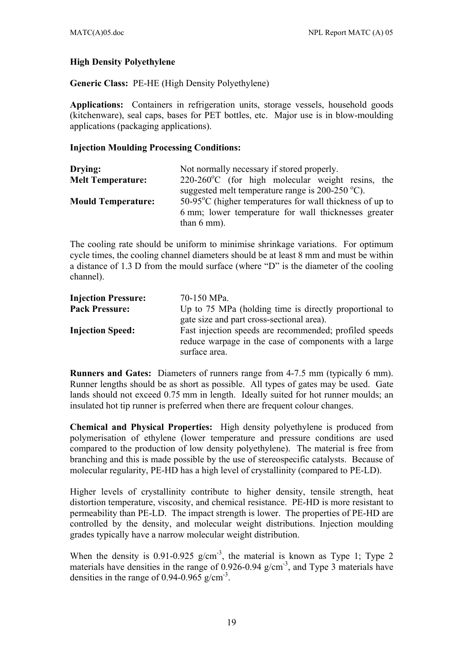#### **High Density Polyethylene**

**Generic Class:** PE-HE (High Density Polyethylene)

**Applications:** Containers in refrigeration units, storage vessels, household goods (kitchenware), seal caps, bases for PET bottles, etc. Major use is in blow-moulding applications (packaging applications).

#### **Injection Moulding Processing Conditions:**

| Drying:                   | Not normally necessary if stored properly.                         |
|---------------------------|--------------------------------------------------------------------|
| <b>Melt Temperature:</b>  | $220-260$ °C (for high molecular weight resins, the                |
|                           | suggested melt temperature range is $200-250$ °C).                 |
| <b>Mould Temperature:</b> | $50-95^{\circ}$ C (higher temperatures for wall thickness of up to |
|                           | 6 mm; lower temperature for wall thicknesses greater               |
|                           | than $6 \text{ mm}$ ).                                             |

The cooling rate should be uniform to minimise shrinkage variations. For optimum cycle times, the cooling channel diameters should be at least 8 mm and must be within a distance of 1.3 D from the mould surface (where "D" is the diameter of the cooling channel).

| <b>Injection Pressure:</b> | 70-150 MPa.                                                                                                     |
|----------------------------|-----------------------------------------------------------------------------------------------------------------|
| <b>Pack Pressure:</b>      | Up to 75 MPa (holding time is directly proportional to                                                          |
|                            | gate size and part cross-sectional area).                                                                       |
| <b>Injection Speed:</b>    | Fast injection speeds are recommended; profiled speeds<br>reduce warpage in the case of components with a large |
|                            | surface area.                                                                                                   |

**Runners and Gates:** Diameters of runners range from 4-7.5 mm (typically 6 mm). Runner lengths should be as short as possible. All types of gates may be used. Gate lands should not exceed 0.75 mm in length. Ideally suited for hot runner moulds; an insulated hot tip runner is preferred when there are frequent colour changes.

**Chemical and Physical Properties:** High density polyethylene is produced from polymerisation of ethylene (lower temperature and pressure conditions are used compared to the production of low density polyethylene). The material is free from branching and this is made possible by the use of stereospecific catalysts. Because of molecular regularity, PE-HD has a high level of crystallinity (compared to PE-LD).

Higher levels of crystallinity contribute to higher density, tensile strength, heat distortion temperature, viscosity, and chemical resistance. PE-HD is more resistant to permeability than PE-LD. The impact strength is lower. The properties of PE-HD are controlled by the density, and molecular weight distributions. Injection moulding grades typically have a narrow molecular weight distribution.

When the density is 0.91-0.925 g/cm<sup>-3</sup>, the material is known as Type 1; Type 2 materials have densities in the range of  $0.926$ -0.94 g/cm<sup>-3</sup>, and Type 3 materials have densities in the range of 0.94-0.965 g/cm<sup>-3</sup>.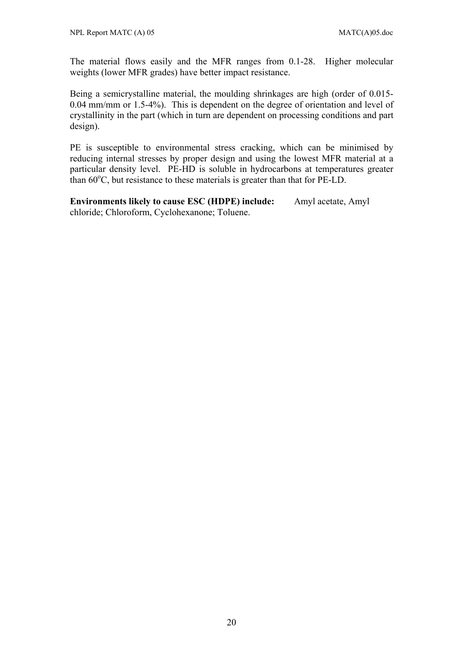The material flows easily and the MFR ranges from 0.1-28. Higher molecular weights (lower MFR grades) have better impact resistance.

Being a semicrystalline material, the moulding shrinkages are high (order of 0.015- 0.04 mm/mm or 1.5-4%). This is dependent on the degree of orientation and level of crystallinity in the part (which in turn are dependent on processing conditions and part design).

PE is susceptible to environmental stress cracking, which can be minimised by reducing internal stresses by proper design and using the lowest MFR material at a particular density level. PE-HD is soluble in hydrocarbons at temperatures greater than  $60^{\circ}$ C, but resistance to these materials is greater than that for PE-LD.

**Environments likely to cause ESC (HDPE) include:** Amyl acetate, Amyl chloride; Chloroform, Cyclohexanone; Toluene.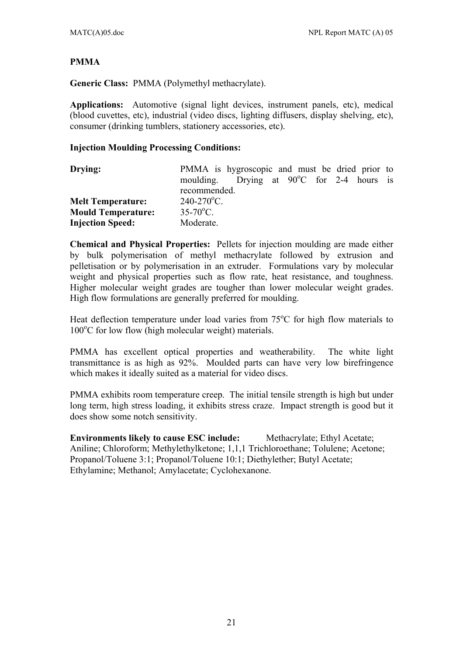#### **PMMA**

**Generic Class:** PMMA (Polymethyl methacrylate).

**Applications:** Automotive (signal light devices, instrument panels, etc), medical (blood cuvettes, etc), industrial (video discs, lighting diffusers, display shelving, etc), consumer (drinking tumblers, stationery accessories, etc).

#### **Injection Moulding Processing Conditions:**

| Drying:                   | PMMA is hygroscopic and must be dried prior to      |  |
|---------------------------|-----------------------------------------------------|--|
|                           | moulding. Drying at $90^{\circ}$ C for 2-4 hours is |  |
|                           | recommended.                                        |  |
| <b>Melt Temperature:</b>  | $240 - 270$ °C.                                     |  |
| <b>Mould Temperature:</b> | $35-70$ °C.                                         |  |
| <b>Injection Speed:</b>   | Moderate.                                           |  |

**Chemical and Physical Properties:** Pellets for injection moulding are made either by bulk polymerisation of methyl methacrylate followed by extrusion and pelletisation or by polymerisation in an extruder. Formulations vary by molecular weight and physical properties such as flow rate, heat resistance, and toughness. Higher molecular weight grades are tougher than lower molecular weight grades. High flow formulations are generally preferred for moulding.

Heat deflection temperature under load varies from  $75^{\circ}$ C for high flow materials to 100°C for low flow (high molecular weight) materials.

PMMA has excellent optical properties and weatherability. The white light transmittance is as high as 92%. Moulded parts can have very low birefringence which makes it ideally suited as a material for video discs.

PMMA exhibits room temperature creep. The initial tensile strength is high but under long term, high stress loading, it exhibits stress craze. Impact strength is good but it does show some notch sensitivity.

**Environments likely to cause ESC include:** Methacrylate; Ethyl Acetate; Aniline; Chloroform; Methylethylketone; 1,1,1 Trichloroethane; Tolulene; Acetone; Propanol/Toluene 3:1; Propanol/Toluene 10:1; Diethylether; Butyl Acetate; Ethylamine; Methanol; Amylacetate; Cyclohexanone.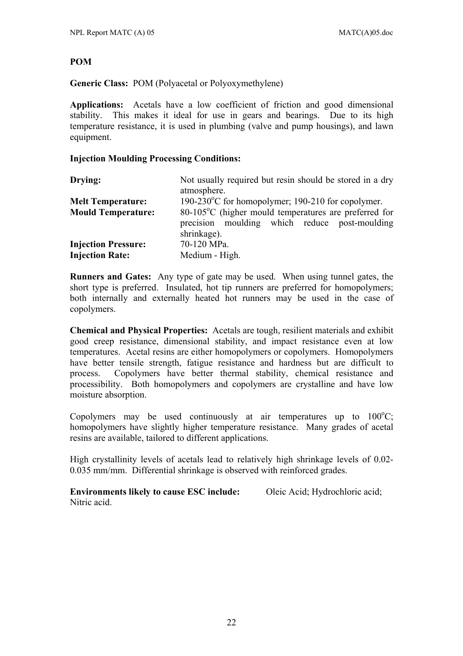#### **POM**

**Generic Class:** POM (Polyacetal or Polyoxymethylene)

**Applications:** Acetals have a low coefficient of friction and good dimensional stability. This makes it ideal for use in gears and bearings. Due to its high temperature resistance, it is used in plumbing (valve and pump housings), and lawn equipment.

#### **Injection Moulding Processing Conditions:**

| Drying:                    | Not usually required but resin should be stored in a dry<br>atmosphere.                                                        |
|----------------------------|--------------------------------------------------------------------------------------------------------------------------------|
| <b>Melt Temperature:</b>   | 190-230 $\degree$ C for homopolymer; 190-210 for copolymer.                                                                    |
| <b>Mould Temperature:</b>  | $80-105\degree$ C (higher mould temperatures are preferred for<br>precision moulding which reduce post-moulding<br>shrinkage). |
| <b>Injection Pressure:</b> | 70-120 MPa.                                                                                                                    |
| <b>Injection Rate:</b>     | Medium - High.                                                                                                                 |

**Runners and Gates:** Any type of gate may be used. When using tunnel gates, the short type is preferred. Insulated, hot tip runners are preferred for homopolymers; both internally and externally heated hot runners may be used in the case of copolymers.

**Chemical and Physical Properties:** Acetals are tough, resilient materials and exhibit good creep resistance, dimensional stability, and impact resistance even at low temperatures. Acetal resins are either homopolymers or copolymers. Homopolymers have better tensile strength, fatigue resistance and hardness but are difficult to process. Copolymers have better thermal stability, chemical resistance and processibility. Both homopolymers and copolymers are crystalline and have low moisture absorption.

Copolymers may be used continuously at air temperatures up to  $100^{\circ}$ C; homopolymers have slightly higher temperature resistance. Many grades of acetal resins are available, tailored to different applications.

High crystallinity levels of acetals lead to relatively high shrinkage levels of 0.02- 0.035 mm/mm. Differential shrinkage is observed with reinforced grades.

**Environments likely to cause ESC include:** Oleic Acid; Hydrochloric acid; Nitric acid.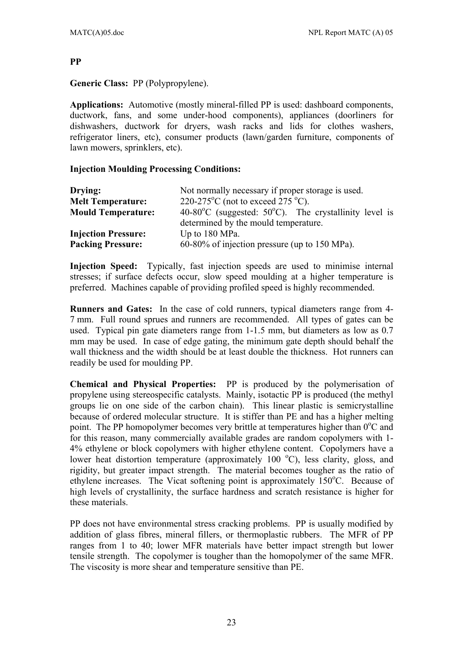#### **PP**

**Generic Class:** PP (Polypropylene).

**Applications:** Automotive (mostly mineral-filled PP is used: dashboard components, ductwork, fans, and some under-hood components), appliances (doorliners for dishwashers, ductwork for dryers, wash racks and lids for clothes washers, refrigerator liners, etc), consumer products (lawn/garden furniture, components of lawn mowers, sprinklers, etc).

#### **Injection Moulding Processing Conditions:**

| Drying:                    | Not normally necessary if proper storage is used.                           |
|----------------------------|-----------------------------------------------------------------------------|
| <b>Melt Temperature:</b>   | 220-275 <sup>°</sup> C (not to exceed 275 <sup>°</sup> C).                  |
| <b>Mould Temperature:</b>  | 40-80 $^{\circ}$ C (suggested: 50 $^{\circ}$ C). The crystallinity level is |
|                            | determined by the mould temperature.                                        |
| <b>Injection Pressure:</b> | Up to 180 MPa.                                                              |
| <b>Packing Pressure:</b>   | 60-80% of injection pressure (up to 150 MPa).                               |

**Injection Speed:** Typically, fast injection speeds are used to minimise internal stresses; if surface defects occur, slow speed moulding at a higher temperature is preferred. Machines capable of providing profiled speed is highly recommended.

**Runners and Gates:** In the case of cold runners, typical diameters range from 4- 7 mm. Full round sprues and runners are recommended. All types of gates can be used. Typical pin gate diameters range from 1-1.5 mm, but diameters as low as 0.7 mm may be used. In case of edge gating, the minimum gate depth should behalf the wall thickness and the width should be at least double the thickness. Hot runners can readily be used for moulding PP.

**Chemical and Physical Properties:** PP is produced by the polymerisation of propylene using stereospecific catalysts. Mainly, isotactic PP is produced (the methyl groups lie on one side of the carbon chain). This linear plastic is semicrystalline because of ordered molecular structure. It is stiffer than PE and has a higher melting point. The PP homopolymer becomes very brittle at temperatures higher than 0°C and for this reason, many commercially available grades are random copolymers with 1- 4% ethylene or block copolymers with higher ethylene content. Copolymers have a lower heat distortion temperature (approximately 100 °C), less clarity, gloss, and rigidity, but greater impact strength. The material becomes tougher as the ratio of ethylene increases. The Vicat softening point is approximately 150°C. Because of high levels of crystallinity, the surface hardness and scratch resistance is higher for these materials.

PP does not have environmental stress cracking problems. PP is usually modified by addition of glass fibres, mineral fillers, or thermoplastic rubbers. The MFR of PP ranges from 1 to 40; lower MFR materials have better impact strength but lower tensile strength. The copolymer is tougher than the homopolymer of the same MFR. The viscosity is more shear and temperature sensitive than PE.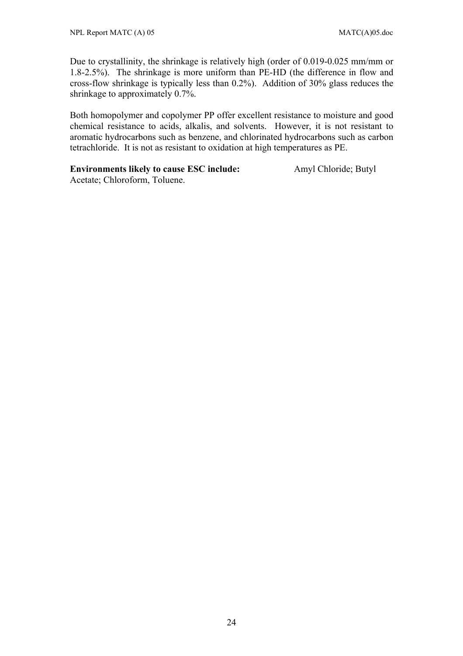Due to crystallinity, the shrinkage is relatively high (order of 0.019-0.025 mm/mm or 1.8-2.5%). The shrinkage is more uniform than PE-HD (the difference in flow and cross-flow shrinkage is typically less than 0.2%). Addition of 30% glass reduces the shrinkage to approximately 0.7%.

Both homopolymer and copolymer PP offer excellent resistance to moisture and good chemical resistance to acids, alkalis, and solvents. However, it is not resistant to aromatic hydrocarbons such as benzene, and chlorinated hydrocarbons such as carbon tetrachloride. It is not as resistant to oxidation at high temperatures as PE.

### **Environments likely to cause ESC include:** Amyl Chloride; Butyl

Acetate; Chloroform, Toluene.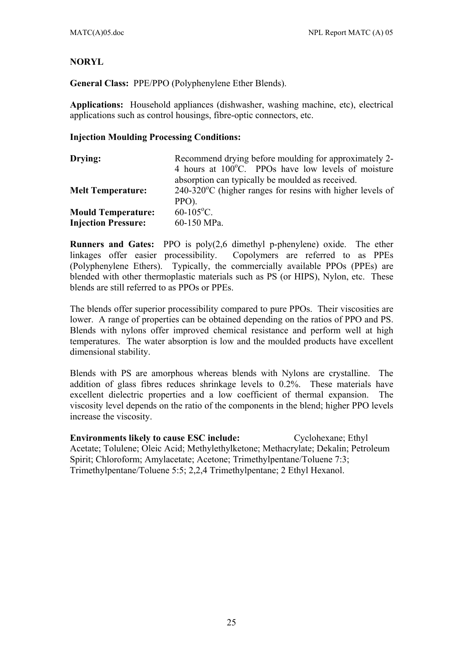### **NORYL**

**General Class:** PPE/PPO (Polyphenylene Ether Blends).

**Applications:** Household appliances (dishwasher, washing machine, etc), electrical applications such as control housings, fibre-optic connectors, etc.

#### **Injection Moulding Processing Conditions:**

| Drying:                    | Recommend drying before moulding for approximately 2-        |
|----------------------------|--------------------------------------------------------------|
|                            | 4 hours at 100°C. PPOs have low levels of moisture           |
|                            | absorption can typically be moulded as received.             |
| <b>Melt Temperature:</b>   | $240-320$ °C (higher ranges for resins with higher levels of |
|                            | $PPO$ ).                                                     |
| <b>Mould Temperature:</b>  | $60-105$ °C.                                                 |
| <b>Injection Pressure:</b> | 60-150 MPa.                                                  |

**Runners and Gates:** PPO is poly(2,6 dimethyl p-phenylene) oxide. The ether linkages offer easier processibility. Copolymers are referred to as PPEs (Polyphenylene Ethers). Typically, the commercially available PPOs (PPEs) are blended with other thermoplastic materials such as PS (or HIPS), Nylon, etc. These blends are still referred to as PPOs or PPEs.

The blends offer superior processibility compared to pure PPOs. Their viscosities are lower. A range of properties can be obtained depending on the ratios of PPO and PS. Blends with nylons offer improved chemical resistance and perform well at high temperatures. The water absorption is low and the moulded products have excellent dimensional stability.

Blends with PS are amorphous whereas blends with Nylons are crystalline. The addition of glass fibres reduces shrinkage levels to 0.2%. These materials have excellent dielectric properties and a low coefficient of thermal expansion. The viscosity level depends on the ratio of the components in the blend; higher PPO levels increase the viscosity.

**Environments likely to cause ESC include:** Cyclohexane; Ethyl Acetate; Tolulene; Oleic Acid; Methylethylketone; Methacrylate; Dekalin; Petroleum Spirit; Chloroform; Amylacetate; Acetone; Trimethylpentane/Toluene 7:3; Trimethylpentane/Toluene 5:5; 2,2,4 Trimethylpentane; 2 Ethyl Hexanol.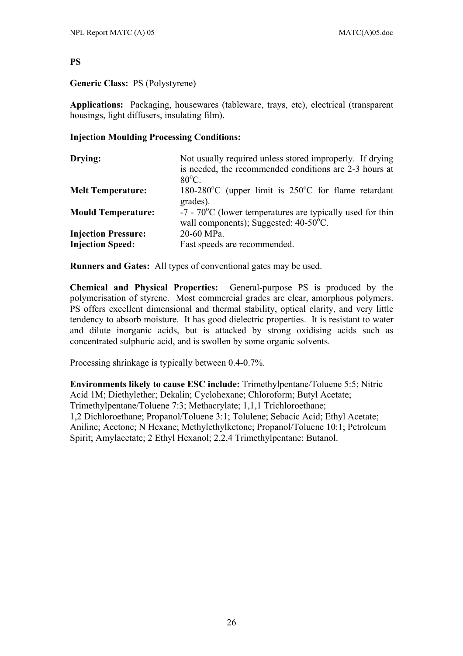#### **PS**

#### **Generic Class:** PS (Polystyrene)

**Applications:** Packaging, housewares (tableware, trays, etc), electrical (transparent housings, light diffusers, insulating film).

#### **Injection Moulding Processing Conditions:**

| Drying:                                               | Not usually required unless stored improperly. If drying<br>is needed, the recommended conditions are 2-3 hours at<br>$80^{\circ}$ C. |
|-------------------------------------------------------|---------------------------------------------------------------------------------------------------------------------------------------|
| <b>Melt Temperature:</b>                              | 180-280 °C (upper limit is $250$ °C for flame retardant<br>grades).                                                                   |
| <b>Mould Temperature:</b>                             | $-7$ - $70^{\circ}$ C (lower temperatures are typically used for thin<br>wall components); Suggested: $40-50^{\circ}$ C.              |
| <b>Injection Pressure:</b><br><b>Injection Speed:</b> | 20-60 MPa.<br>Fast speeds are recommended.                                                                                            |

**Runners and Gates:** All types of conventional gates may be used.

**Chemical and Physical Properties:** General-purpose PS is produced by the polymerisation of styrene. Most commercial grades are clear, amorphous polymers. PS offers excellent dimensional and thermal stability, optical clarity, and very little tendency to absorb moisture. It has good dielectric properties. It is resistant to water and dilute inorganic acids, but is attacked by strong oxidising acids such as concentrated sulphuric acid, and is swollen by some organic solvents.

Processing shrinkage is typically between 0.4-0.7%.

**Environments likely to cause ESC include:** Trimethylpentane/Toluene 5:5; Nitric Acid 1M; Diethylether; Dekalin; Cyclohexane; Chloroform; Butyl Acetate; Trimethylpentane/Toluene 7:3; Methacrylate; 1,1,1 Trichloroethane; 1,2 Dichloroethane; Propanol/Toluene 3:1; Tolulene; Sebacic Acid; Ethyl Acetate; Aniline; Acetone; N Hexane; Methylethylketone; Propanol/Toluene 10:1; Petroleum Spirit; Amylacetate; 2 Ethyl Hexanol; 2,2,4 Trimethylpentane; Butanol.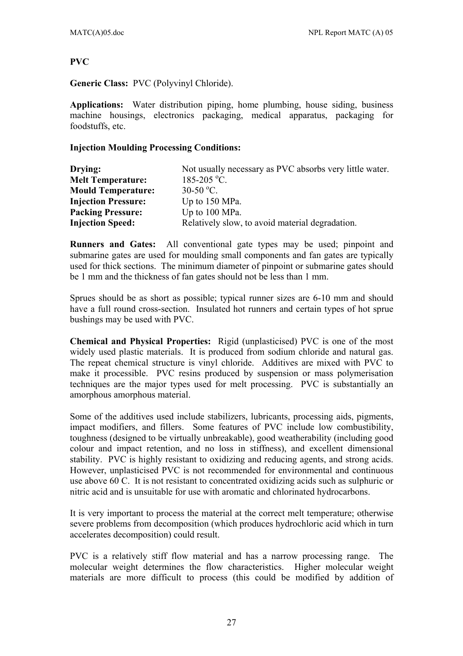#### **PVC**

**Generic Class:** PVC (Polyvinyl Chloride).

**Applications:** Water distribution piping, home plumbing, house siding, business machine housings, electronics packaging, medical apparatus, packaging for foodstuffs, etc.

#### **Injection Moulding Processing Conditions:**

| Drying:                    | Not usually necessary as PVC absorbs very little water. |
|----------------------------|---------------------------------------------------------|
| <b>Melt Temperature:</b>   | 185-205 °C.                                             |
| <b>Mould Temperature:</b>  | $30-50$ °C.                                             |
| <b>Injection Pressure:</b> | Up to 150 MPa.                                          |
| <b>Packing Pressure:</b>   | Up to 100 MPa.                                          |
| <b>Injection Speed:</b>    | Relatively slow, to avoid material degradation.         |

**Runners and Gates:** All conventional gate types may be used; pinpoint and submarine gates are used for moulding small components and fan gates are typically used for thick sections. The minimum diameter of pinpoint or submarine gates should be 1 mm and the thickness of fan gates should not be less than 1 mm.

Sprues should be as short as possible; typical runner sizes are 6-10 mm and should have a full round cross-section. Insulated hot runners and certain types of hot sprue bushings may be used with PVC.

**Chemical and Physical Properties:** Rigid (unplasticised) PVC is one of the most widely used plastic materials. It is produced from sodium chloride and natural gas. The repeat chemical structure is vinyl chloride. Additives are mixed with PVC to make it processible. PVC resins produced by suspension or mass polymerisation techniques are the major types used for melt processing. PVC is substantially an amorphous amorphous material.

Some of the additives used include stabilizers, lubricants, processing aids, pigments, impact modifiers, and fillers. Some features of PVC include low combustibility, toughness (designed to be virtually unbreakable), good weatherability (including good colour and impact retention, and no loss in stiffness), and excellent dimensional stability. PVC is highly resistant to oxidizing and reducing agents, and strong acids. However, unplasticised PVC is not recommended for environmental and continuous use above 60 C. It is not resistant to concentrated oxidizing acids such as sulphuric or nitric acid and is unsuitable for use with aromatic and chlorinated hydrocarbons.

It is very important to process the material at the correct melt temperature; otherwise severe problems from decomposition (which produces hydrochloric acid which in turn accelerates decomposition) could result.

PVC is a relatively stiff flow material and has a narrow processing range. The molecular weight determines the flow characteristics. Higher molecular weight materials are more difficult to process (this could be modified by addition of